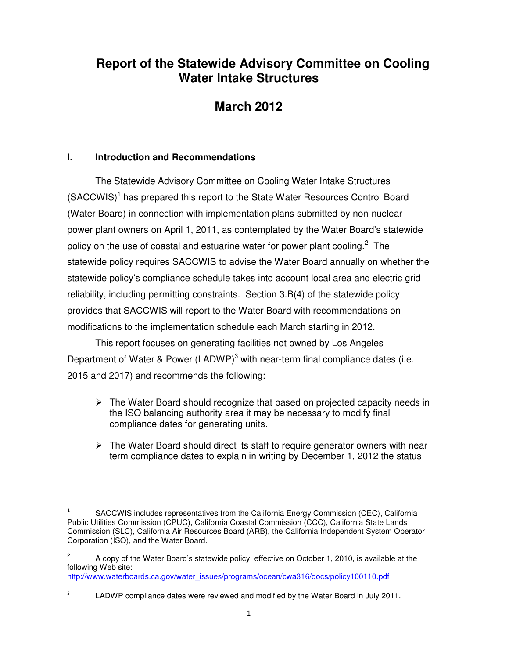# **Report of the Statewide Advisory Committee on Cooling Water Intake Structures**

# **March 2012**

# **I. Introduction and Recommendations**

 $\overline{a}$ 

The Statewide Advisory Committee on Cooling Water Intake Structures (SACCWIS)<sup>1</sup> has prepared this report to the State Water Resources Control Board (Water Board) in connection with implementation plans submitted by non-nuclear power plant owners on April 1, 2011, as contemplated by the Water Board's statewide policy on the use of coastal and estuarine water for power plant cooling. $2$  The statewide policy requires SACCWIS to advise the Water Board annually on whether the statewide policy's compliance schedule takes into account local area and electric grid reliability, including permitting constraints. Section 3.B(4) of the statewide policy provides that SACCWIS will report to the Water Board with recommendations on modifications to the implementation schedule each March starting in 2012.

This report focuses on generating facilities not owned by Los Angeles Department of Water & Power (LADWP)<sup>3</sup> with near-term final compliance dates (i.e. 2015 and 2017) and recommends the following:

- $\triangleright$  The Water Board should recognize that based on projected capacity needs in the ISO balancing authority area it may be necessary to modify final compliance dates for generating units.
- $\triangleright$  The Water Board should direct its staff to require generator owners with near term compliance dates to explain in writing by December 1, 2012 the status

<sup>1</sup> SACCWIS includes representatives from the California Energy Commission (CEC), California Public Utilities Commission (CPUC), California Coastal Commission (CCC), California State Lands Commission (SLC), California Air Resources Board (ARB), the California Independent System Operator Corporation (ISO), and the Water Board.

<sup>2</sup> A copy of the Water Board's statewide policy, effective on October 1, 2010, is available at the following Web site:

http://www.waterboards.ca.gov/water\_issues/programs/ocean/cwa316/docs/policy100110.pdf

<sup>3</sup> LADWP compliance dates were reviewed and modified by the Water Board in July 2011.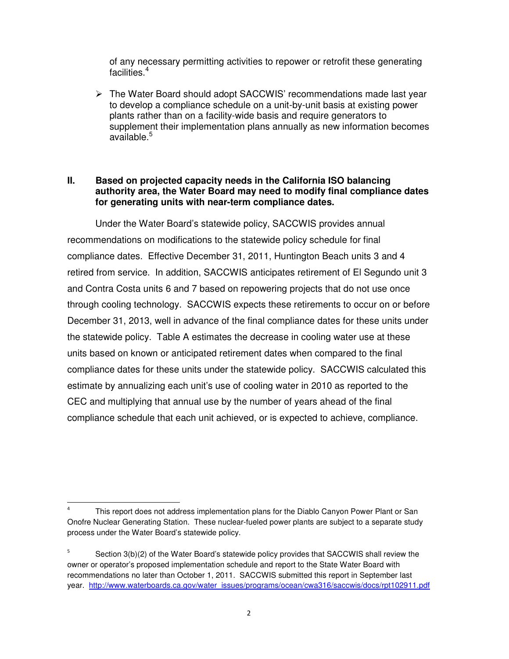of any necessary permitting activities to repower or retrofit these generating facilities.<sup>4</sup>

 $\triangleright$  The Water Board should adopt SACCWIS' recommendations made last year to develop a compliance schedule on a unit-by-unit basis at existing power plants rather than on a facility-wide basis and require generators to supplement their implementation plans annually as new information becomes available.<sup>5</sup>

## **II. Based on projected capacity needs in the California ISO balancing authority area, the Water Board may need to modify final compliance dates for generating units with near-term compliance dates.**

Under the Water Board's statewide policy, SACCWIS provides annual recommendations on modifications to the statewide policy schedule for final compliance dates. Effective December 31, 2011, Huntington Beach units 3 and 4 retired from service. In addition, SACCWIS anticipates retirement of El Segundo unit 3 and Contra Costa units 6 and 7 based on repowering projects that do not use once through cooling technology. SACCWIS expects these retirements to occur on or before December 31, 2013, well in advance of the final compliance dates for these units under the statewide policy. Table A estimates the decrease in cooling water use at these units based on known or anticipated retirement dates when compared to the final compliance dates for these units under the statewide policy. SACCWIS calculated this estimate by annualizing each unit's use of cooling water in 2010 as reported to the CEC and multiplying that annual use by the number of years ahead of the final compliance schedule that each unit achieved, or is expected to achieve, compliance.

 $\overline{a}$ 

<sup>4</sup> This report does not address implementation plans for the Diablo Canyon Power Plant or San Onofre Nuclear Generating Station. These nuclear-fueled power plants are subject to a separate study process under the Water Board's statewide policy.

<sup>5</sup> Section 3(b)(2) of the Water Board's statewide policy provides that SACCWIS shall review the owner or operator's proposed implementation schedule and report to the State Water Board with recommendations no later than October 1, 2011. SACCWIS submitted this report in September last year. http://www.waterboards.ca.gov/water\_issues/programs/ocean/cwa316/saccwis/docs/rpt102911.pdf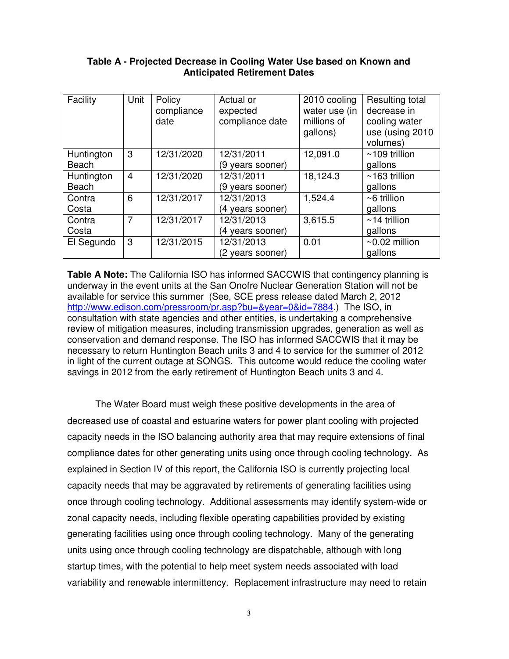## **Table A - Projected Decrease in Cooling Water Use based on Known and Anticipated Retirement Dates**

| Facility     | Unit           | Policy<br>compliance<br>date | Actual or<br>expected<br>compliance date | 2010 cooling<br>water use (in<br>millions of<br>gallons) | Resulting total<br>decrease in<br>cooling water<br>use (using 2010<br>volumes) |
|--------------|----------------|------------------------------|------------------------------------------|----------------------------------------------------------|--------------------------------------------------------------------------------|
| Huntington   | 3              | 12/31/2020                   | 12/31/2011                               | 12,091.0                                                 | $~109$ trillion                                                                |
| <b>Beach</b> |                |                              | (9 years sooner)                         |                                                          | gallons                                                                        |
| Huntington   | $\overline{4}$ | 12/31/2020                   | 12/31/2011                               | 18,124.3                                                 | $~163$ trillion                                                                |
| <b>Beach</b> |                |                              | (9 years sooner)                         |                                                          | gallons                                                                        |
| Contra       | 6              | 12/31/2017                   | 12/31/2013                               | 1,524.4                                                  | $~6$ trillion                                                                  |
| Costa        |                |                              | (4 years sooner)                         |                                                          | gallons                                                                        |
| Contra       | 7              | 12/31/2017                   | 12/31/2013                               | 3,615.5                                                  | $~14$ trillion                                                                 |
| Costa        |                |                              | (4 years sooner)                         |                                                          | gallons                                                                        |
| El Segundo   | 3              | 12/31/2015                   | 12/31/2013                               | 0.01                                                     | $\sim$ 0.02 million                                                            |
|              |                |                              | (2 years sooner)                         |                                                          | gallons                                                                        |

**Table A Note:** The California ISO has informed SACCWIS that contingency planning is underway in the event units at the San Onofre Nuclear Generation Station will not be available for service this summer (See, SCE press release dated March 2, 2012 http://www.edison.com/pressroom/pr.asp?bu=&year=0&id=7884.) The ISO, in consultation with state agencies and other entities, is undertaking a comprehensive review of mitigation measures, including transmission upgrades, generation as well as conservation and demand response. The ISO has informed SACCWIS that it may be necessary to return Huntington Beach units 3 and 4 to service for the summer of 2012 in light of the current outage at SONGS. This outcome would reduce the cooling water savings in 2012 from the early retirement of Huntington Beach units 3 and 4.

The Water Board must weigh these positive developments in the area of decreased use of coastal and estuarine waters for power plant cooling with projected capacity needs in the ISO balancing authority area that may require extensions of final compliance dates for other generating units using once through cooling technology. As explained in Section IV of this report, the California ISO is currently projecting local capacity needs that may be aggravated by retirements of generating facilities using once through cooling technology. Additional assessments may identify system-wide or zonal capacity needs, including flexible operating capabilities provided by existing generating facilities using once through cooling technology. Many of the generating units using once through cooling technology are dispatchable, although with long startup times, with the potential to help meet system needs associated with load variability and renewable intermittency. Replacement infrastructure may need to retain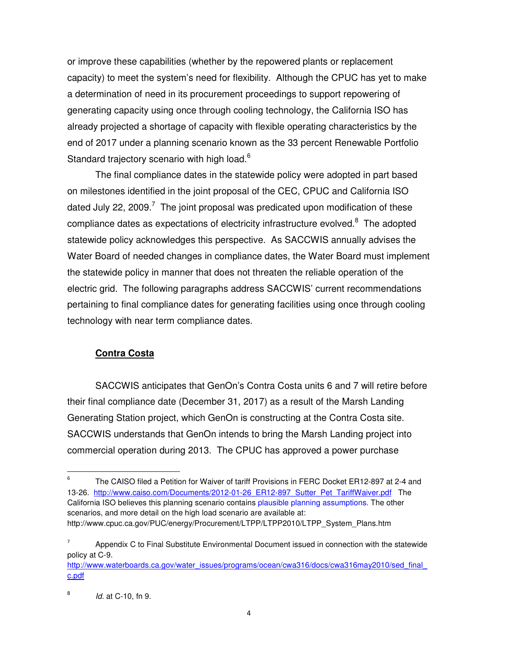or improve these capabilities (whether by the repowered plants or replacement capacity) to meet the system's need for flexibility. Although the CPUC has yet to make a determination of need in its procurement proceedings to support repowering of generating capacity using once through cooling technology, the California ISO has already projected a shortage of capacity with flexible operating characteristics by the end of 2017 under a planning scenario known as the 33 percent Renewable Portfolio Standard trajectory scenario with high load.<sup>6</sup>

The final compliance dates in the statewide policy were adopted in part based on milestones identified in the joint proposal of the CEC, CPUC and California ISO dated July 22, 2009.<sup>7</sup> The joint proposal was predicated upon modification of these compliance dates as expectations of electricity infrastructure evolved. $8$  The adopted statewide policy acknowledges this perspective. As SACCWIS annually advises the Water Board of needed changes in compliance dates, the Water Board must implement the statewide policy in manner that does not threaten the reliable operation of the electric grid. The following paragraphs address SACCWIS' current recommendations pertaining to final compliance dates for generating facilities using once through cooling technology with near term compliance dates.

# **Contra Costa**

SACCWIS anticipates that GenOn's Contra Costa units 6 and 7 will retire before their final compliance date (December 31, 2017) as a result of the Marsh Landing Generating Station project, which GenOn is constructing at the Contra Costa site. SACCWIS understands that GenOn intends to bring the Marsh Landing project into commercial operation during 2013. The CPUC has approved a power purchase

 $\overline{a}$ 

<sup>6</sup> The CAISO filed a Petition for Waiver of tariff Provisions in FERC Docket ER12-897 at 2-4 and 13-26. http://www.caiso.com/Documents/2012-01-26\_ER12-897\_Sutter\_Pet\_TariffWaiver.pdf The California ISO believes this planning scenario contains plausible planning assumptions. The other scenarios, and more detail on the high load scenario are available at: http://www.cpuc.ca.gov/PUC/energy/Procurement/LTPP/LTPP2010/LTPP\_System\_Plans.htm

<sup>7</sup> Appendix C to Final Substitute Environmental Document issued in connection with the statewide policy at C-9.

http://www.waterboards.ca.gov/water\_issues/programs/ocean/cwa316/docs/cwa316may2010/sed\_final c.pdf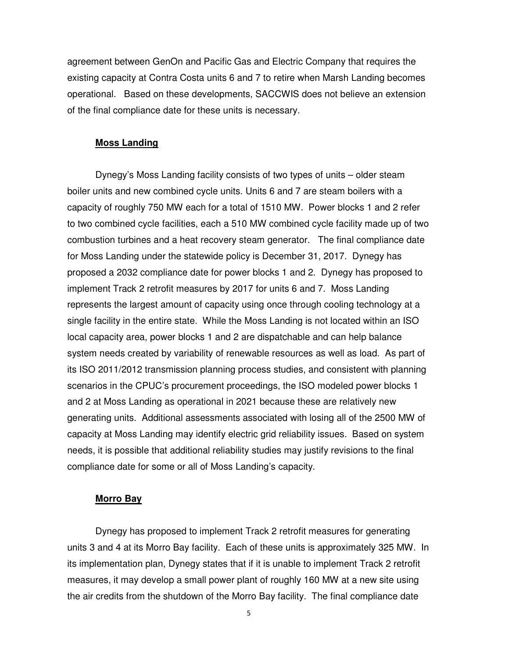agreement between GenOn and Pacific Gas and Electric Company that requires the existing capacity at Contra Costa units 6 and 7 to retire when Marsh Landing becomes operational. Based on these developments, SACCWIS does not believe an extension of the final compliance date for these units is necessary.

#### **Moss Landing**

Dynegy's Moss Landing facility consists of two types of units – older steam boiler units and new combined cycle units. Units 6 and 7 are steam boilers with a capacity of roughly 750 MW each for a total of 1510 MW. Power blocks 1 and 2 refer to two combined cycle facilities, each a 510 MW combined cycle facility made up of two combustion turbines and a heat recovery steam generator. The final compliance date for Moss Landing under the statewide policy is December 31, 2017. Dynegy has proposed a 2032 compliance date for power blocks 1 and 2. Dynegy has proposed to implement Track 2 retrofit measures by 2017 for units 6 and 7. Moss Landing represents the largest amount of capacity using once through cooling technology at a single facility in the entire state. While the Moss Landing is not located within an ISO local capacity area, power blocks 1 and 2 are dispatchable and can help balance system needs created by variability of renewable resources as well as load. As part of its ISO 2011/2012 transmission planning process studies, and consistent with planning scenarios in the CPUC's procurement proceedings, the ISO modeled power blocks 1 and 2 at Moss Landing as operational in 2021 because these are relatively new generating units. Additional assessments associated with losing all of the 2500 MW of capacity at Moss Landing may identify electric grid reliability issues. Based on system needs, it is possible that additional reliability studies may justify revisions to the final compliance date for some or all of Moss Landing's capacity.

#### **Morro Bay**

Dynegy has proposed to implement Track 2 retrofit measures for generating units 3 and 4 at its Morro Bay facility. Each of these units is approximately 325 MW. In its implementation plan, Dynegy states that if it is unable to implement Track 2 retrofit measures, it may develop a small power plant of roughly 160 MW at a new site using the air credits from the shutdown of the Morro Bay facility. The final compliance date

5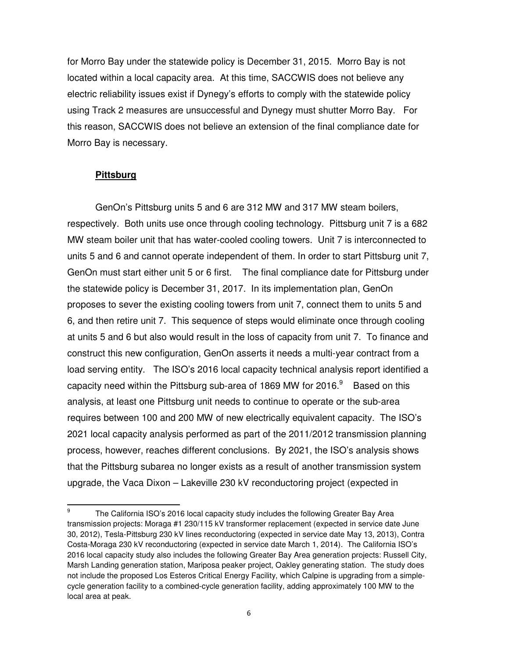for Morro Bay under the statewide policy is December 31, 2015. Morro Bay is not located within a local capacity area. At this time, SACCWIS does not believe any electric reliability issues exist if Dynegy's efforts to comply with the statewide policy using Track 2 measures are unsuccessful and Dynegy must shutter Morro Bay. For this reason, SACCWIS does not believe an extension of the final compliance date for Morro Bay is necessary.

#### **Pittsburg**

 $\overline{a}$ 

GenOn's Pittsburg units 5 and 6 are 312 MW and 317 MW steam boilers, respectively. Both units use once through cooling technology. Pittsburg unit 7 is a 682 MW steam boiler unit that has water-cooled cooling towers. Unit 7 is interconnected to units 5 and 6 and cannot operate independent of them. In order to start Pittsburg unit 7, GenOn must start either unit 5 or 6 first. The final compliance date for Pittsburg under the statewide policy is December 31, 2017. In its implementation plan, GenOn proposes to sever the existing cooling towers from unit 7, connect them to units 5 and 6, and then retire unit 7. This sequence of steps would eliminate once through cooling at units 5 and 6 but also would result in the loss of capacity from unit 7. To finance and construct this new configuration, GenOn asserts it needs a multi-year contract from a load serving entity. The ISO's 2016 local capacity technical analysis report identified a capacity need within the Pittsburg sub-area of 1869 MW for 2016. $9$  Based on this analysis, at least one Pittsburg unit needs to continue to operate or the sub-area requires between 100 and 200 MW of new electrically equivalent capacity. The ISO's 2021 local capacity analysis performed as part of the 2011/2012 transmission planning process, however, reaches different conclusions. By 2021, the ISO's analysis shows that the Pittsburg subarea no longer exists as a result of another transmission system upgrade, the Vaca Dixon – Lakeville 230 kV reconductoring project (expected in

<sup>9</sup> The California ISO's 2016 local capacity study includes the following Greater Bay Area transmission projects: Moraga #1 230/115 kV transformer replacement (expected in service date June 30, 2012), Tesla-Pittsburg 230 kV lines reconductoring (expected in service date May 13, 2013), Contra Costa-Moraga 230 kV reconductoring (expected in service date March 1, 2014). The California ISO's 2016 local capacity study also includes the following Greater Bay Area generation projects: Russell City, Marsh Landing generation station, Mariposa peaker project, Oakley generating station. The study does not include the proposed Los Esteros Critical Energy Facility, which Calpine is upgrading from a simplecycle generation facility to a combined-cycle generation facility, adding approximately 100 MW to the local area at peak.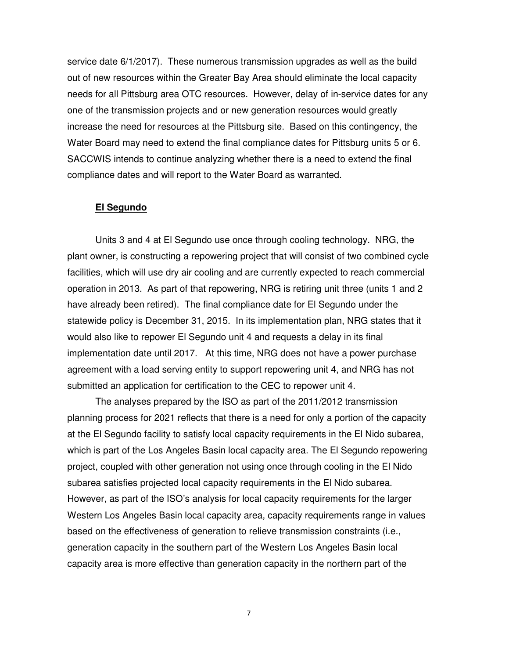service date 6/1/2017). These numerous transmission upgrades as well as the build out of new resources within the Greater Bay Area should eliminate the local capacity needs for all Pittsburg area OTC resources. However, delay of in-service dates for any one of the transmission projects and or new generation resources would greatly increase the need for resources at the Pittsburg site. Based on this contingency, the Water Board may need to extend the final compliance dates for Pittsburg units 5 or 6. SACCWIS intends to continue analyzing whether there is a need to extend the final compliance dates and will report to the Water Board as warranted.

#### **El Segundo**

Units 3 and 4 at El Segundo use once through cooling technology. NRG, the plant owner, is constructing a repowering project that will consist of two combined cycle facilities, which will use dry air cooling and are currently expected to reach commercial operation in 2013. As part of that repowering, NRG is retiring unit three (units 1 and 2 have already been retired). The final compliance date for El Segundo under the statewide policy is December 31, 2015. In its implementation plan, NRG states that it would also like to repower El Segundo unit 4 and requests a delay in its final implementation date until 2017. At this time, NRG does not have a power purchase agreement with a load serving entity to support repowering unit 4, and NRG has not submitted an application for certification to the CEC to repower unit 4.

The analyses prepared by the ISO as part of the 2011/2012 transmission planning process for 2021 reflects that there is a need for only a portion of the capacity at the El Segundo facility to satisfy local capacity requirements in the El Nido subarea, which is part of the Los Angeles Basin local capacity area. The El Segundo repowering project, coupled with other generation not using once through cooling in the El Nido subarea satisfies projected local capacity requirements in the El Nido subarea. However, as part of the ISO's analysis for local capacity requirements for the larger Western Los Angeles Basin local capacity area, capacity requirements range in values based on the effectiveness of generation to relieve transmission constraints (i.e., generation capacity in the southern part of the Western Los Angeles Basin local capacity area is more effective than generation capacity in the northern part of the

7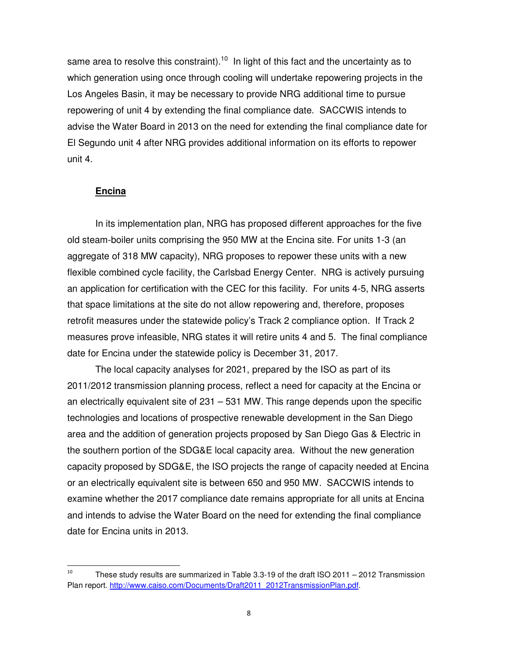same area to resolve this constraint).<sup>10</sup> In light of this fact and the uncertainty as to which generation using once through cooling will undertake repowering projects in the Los Angeles Basin, it may be necessary to provide NRG additional time to pursue repowering of unit 4 by extending the final compliance date. SACCWIS intends to advise the Water Board in 2013 on the need for extending the final compliance date for El Segundo unit 4 after NRG provides additional information on its efforts to repower unit 4.

## **Encina**

 $\overline{a}$ 

In its implementation plan, NRG has proposed different approaches for the five old steam-boiler units comprising the 950 MW at the Encina site. For units 1-3 (an aggregate of 318 MW capacity), NRG proposes to repower these units with a new flexible combined cycle facility, the Carlsbad Energy Center. NRG is actively pursuing an application for certification with the CEC for this facility. For units 4-5, NRG asserts that space limitations at the site do not allow repowering and, therefore, proposes retrofit measures under the statewide policy's Track 2 compliance option. If Track 2 measures prove infeasible, NRG states it will retire units 4 and 5. The final compliance date for Encina under the statewide policy is December 31, 2017.

The local capacity analyses for 2021, prepared by the ISO as part of its 2011/2012 transmission planning process, reflect a need for capacity at the Encina or an electrically equivalent site of 231 – 531 MW. This range depends upon the specific technologies and locations of prospective renewable development in the San Diego area and the addition of generation projects proposed by San Diego Gas & Electric in the southern portion of the SDG&E local capacity area. Without the new generation capacity proposed by SDG&E, the ISO projects the range of capacity needed at Encina or an electrically equivalent site is between 650 and 950 MW. SACCWIS intends to examine whether the 2017 compliance date remains appropriate for all units at Encina and intends to advise the Water Board on the need for extending the final compliance date for Encina units in 2013.

<sup>10</sup> These study results are summarized in Table 3.3-19 of the draft ISO 2011 – 2012 Transmission Plan report. http://www.caiso.com/Documents/Draft2011\_2012TransmissionPlan.pdf.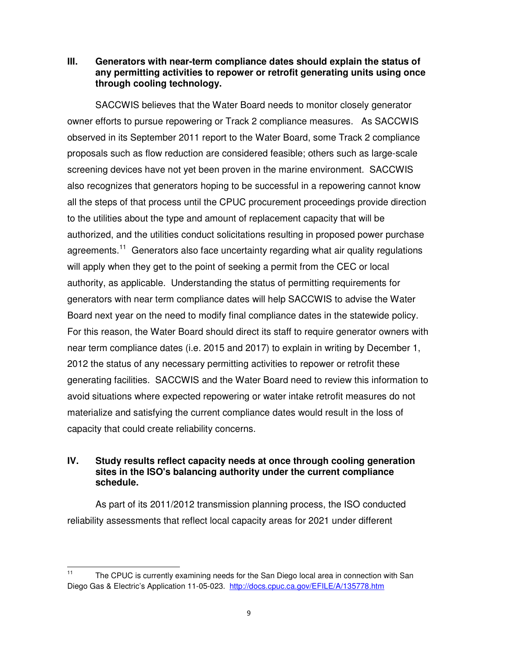## **III. Generators with near-term compliance dates should explain the status of any permitting activities to repower or retrofit generating units using once through cooling technology.**

SACCWIS believes that the Water Board needs to monitor closely generator owner efforts to pursue repowering or Track 2 compliance measures. As SACCWIS observed in its September 2011 report to the Water Board, some Track 2 compliance proposals such as flow reduction are considered feasible; others such as large-scale screening devices have not yet been proven in the marine environment. SACCWIS also recognizes that generators hoping to be successful in a repowering cannot know all the steps of that process until the CPUC procurement proceedings provide direction to the utilities about the type and amount of replacement capacity that will be authorized, and the utilities conduct solicitations resulting in proposed power purchase agreements.<sup>11</sup> Generators also face uncertainty regarding what air quality regulations will apply when they get to the point of seeking a permit from the CEC or local authority, as applicable. Understanding the status of permitting requirements for generators with near term compliance dates will help SACCWIS to advise the Water Board next year on the need to modify final compliance dates in the statewide policy. For this reason, the Water Board should direct its staff to require generator owners with near term compliance dates (i.e. 2015 and 2017) to explain in writing by December 1, 2012 the status of any necessary permitting activities to repower or retrofit these generating facilities. SACCWIS and the Water Board need to review this information to avoid situations where expected repowering or water intake retrofit measures do not materialize and satisfying the current compliance dates would result in the loss of capacity that could create reliability concerns.

# **IV. Study results reflect capacity needs at once through cooling generation sites in the ISO's balancing authority under the current compliance schedule.**

As part of its 2011/2012 transmission planning process, the ISO conducted reliability assessments that reflect local capacity areas for 2021 under different

 $11$ The CPUC is currently examining needs for the San Diego local area in connection with San Diego Gas & Electric's Application 11-05-023. http://docs.cpuc.ca.gov/EFILE/A/135778.htm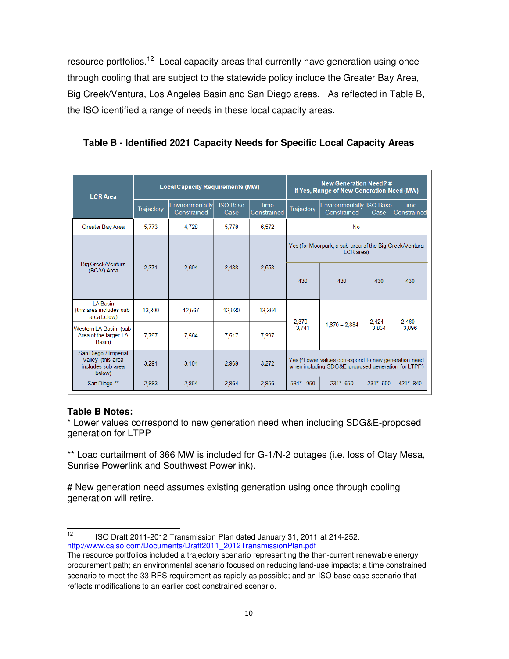resource portfolios.<sup>12</sup> Local capacity areas that currently have generation using once through cooling that are subject to the statewide policy include the Greater Bay Area, Big Creek/Ventura, Los Angeles Basin and San Diego areas. As reflected in Table B, the ISO identified a range of needs in these local capacity areas.

| <b>LCRArea</b>                                                           |                   | <b>Local Capacity Requirements (MW)</b> | <b>New Generation Need?#</b><br>If Yes, Range of New Generation Need (MW) |                            |                                                                                                            |                                         |                    |                            |  |
|--------------------------------------------------------------------------|-------------------|-----------------------------------------|---------------------------------------------------------------------------|----------------------------|------------------------------------------------------------------------------------------------------------|-----------------------------------------|--------------------|----------------------------|--|
|                                                                          | <b>Trajectory</b> | Environmentally<br>Constrained          | <b>ISO Base</b><br>Case                                                   | <b>Time</b><br>Constrained | Trajectory                                                                                                 | Environmentally ISO Base<br>Constrained | Case               | <b>Time</b><br>Constrained |  |
| Greater Bay Area                                                         | 5.773             | 4.728                                   | 5.778                                                                     | 6.572                      | No                                                                                                         |                                         |                    |                            |  |
| Big Creek/Ventura<br>(BC/V) Area                                         | 2.371             | 2.604                                   | 2.438                                                                     | 2.653                      | Yes (for Moorpark, a sub-area of the Big Creek/Ventura<br>LCR area)                                        |                                         |                    |                            |  |
|                                                                          |                   |                                         |                                                                           |                            | 430                                                                                                        | 430                                     | 430                | 430                        |  |
| I A Basin<br>(this area includes sub-<br>area below)                     | 13,300            | 12,567                                  | 12,930                                                                    | 13,364                     |                                                                                                            | $1.870 - 2.884$                         | $2.424 -$<br>3.834 | $2,460-$<br>3.896          |  |
| Western LA Basin (sub-<br>Area of the larger LA<br>Basin)                | 7.797             | 7,564                                   | 7,517                                                                     | 7.397                      | $2,370-$<br>3.741                                                                                          |                                         |                    |                            |  |
| San Diego / Imperial<br>Valley (this area<br>includes sub-area<br>below) | 3,291             | 3,104                                   | 2,968                                                                     | 3,272                      | Yes (*Lower values correspond to new generation need<br>when including SDG&E-proposed generation for LTPP) |                                         |                    |                            |  |
| San Diego **                                                             | 2.883             | 2,854                                   | 2,864                                                                     | 2,856                      | $531* - 950$                                                                                               | $231* - 650$                            | 231*-650           | 421*-840                   |  |

**Table B - Identified 2021 Capacity Needs for Specific Local Capacity Areas**

# **Table B Notes:**

 $\overline{a}$ 

\* Lower values correspond to new generation need when including SDG&E-proposed generation for LTPP

\*\* Load curtailment of 366 MW is included for G-1/N-2 outages (i.e. loss of Otay Mesa, Sunrise Powerlink and Southwest Powerlink).

# New generation need assumes existing generation using once through cooling generation will retire.

<sup>&</sup>lt;sup>12</sup> ISO Draft 2011-2012 Transmission Plan dated January 31, 2011 at 214-252. http://www.caiso.com/Documents/Draft2011\_2012TransmissionPlan.pdf

The resource portfolios included a trajectory scenario representing the then-current renewable energy procurement path; an environmental scenario focused on reducing land-use impacts; a time constrained scenario to meet the 33 RPS requirement as rapidly as possible; and an ISO base case scenario that reflects modifications to an earlier cost constrained scenario.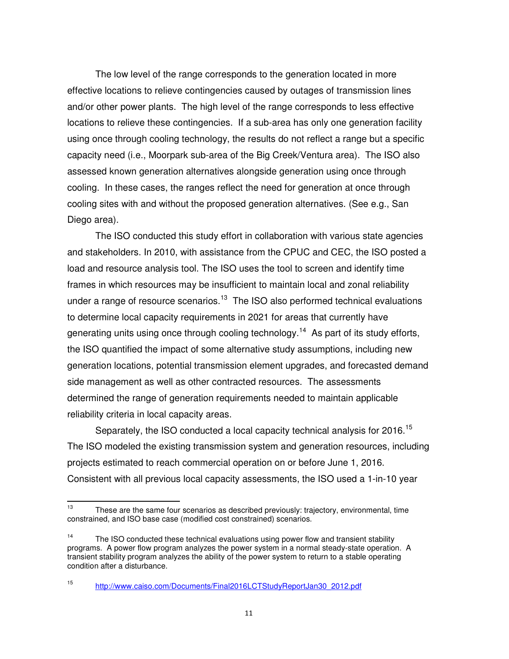The low level of the range corresponds to the generation located in more effective locations to relieve contingencies caused by outages of transmission lines and/or other power plants. The high level of the range corresponds to less effective locations to relieve these contingencies. If a sub-area has only one generation facility using once through cooling technology, the results do not reflect a range but a specific capacity need (i.e., Moorpark sub-area of the Big Creek/Ventura area). The ISO also assessed known generation alternatives alongside generation using once through cooling. In these cases, the ranges reflect the need for generation at once through cooling sites with and without the proposed generation alternatives. (See e.g., San Diego area).

The ISO conducted this study effort in collaboration with various state agencies and stakeholders. In 2010, with assistance from the CPUC and CEC, the ISO posted a load and resource analysis tool. The ISO uses the tool to screen and identify time frames in which resources may be insufficient to maintain local and zonal reliability under a range of resource scenarios.<sup>13</sup> The ISO also performed technical evaluations to determine local capacity requirements in 2021 for areas that currently have generating units using once through cooling technology.<sup>14</sup> As part of its study efforts, the ISO quantified the impact of some alternative study assumptions, including new generation locations, potential transmission element upgrades, and forecasted demand side management as well as other contracted resources. The assessments determined the range of generation requirements needed to maintain applicable reliability criteria in local capacity areas.

Separately, the ISO conducted a local capacity technical analysis for 2016.<sup>15</sup> The ISO modeled the existing transmission system and generation resources, including projects estimated to reach commercial operation on or before June 1, 2016. Consistent with all previous local capacity assessments, the ISO used a 1-in-10 year

 $13$ These are the same four scenarios as described previously: trajectory, environmental, time constrained, and ISO base case (modified cost constrained) scenarios.

<sup>&</sup>lt;sup>14</sup> The ISO conducted these technical evaluations using power flow and transient stability programs. A power flow program analyzes the power system in a normal steady-state operation. A transient stability program analyzes the ability of the power system to return to a stable operating condition after a disturbance.

<sup>15</sup> http://www.caiso.com/Documents/Final2016LCTStudyReportJan30\_2012.pdf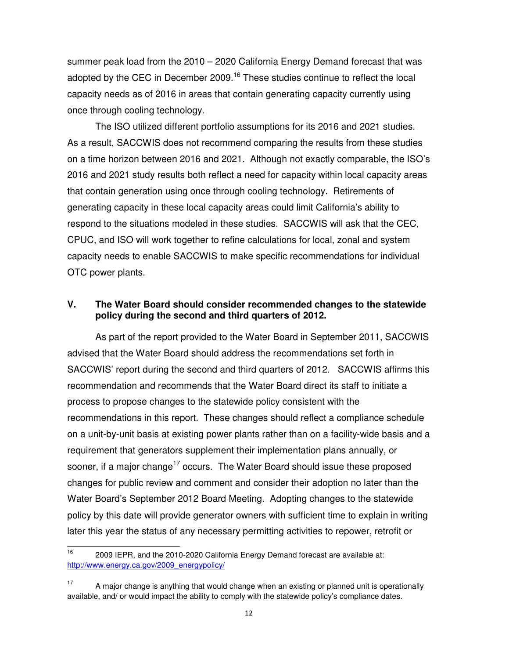summer peak load from the 2010 – 2020 California Energy Demand forecast that was adopted by the CEC in December 2009.<sup>16</sup> These studies continue to reflect the local capacity needs as of 2016 in areas that contain generating capacity currently using once through cooling technology.

The ISO utilized different portfolio assumptions for its 2016 and 2021 studies. As a result, SACCWIS does not recommend comparing the results from these studies on a time horizon between 2016 and 2021. Although not exactly comparable, the ISO's 2016 and 2021 study results both reflect a need for capacity within local capacity areas that contain generation using once through cooling technology. Retirements of generating capacity in these local capacity areas could limit California's ability to respond to the situations modeled in these studies. SACCWIS will ask that the CEC, CPUC, and ISO will work together to refine calculations for local, zonal and system capacity needs to enable SACCWIS to make specific recommendations for individual OTC power plants.

## **V. The Water Board should consider recommended changes to the statewide policy during the second and third quarters of 2012.**

As part of the report provided to the Water Board in September 2011, SACCWIS advised that the Water Board should address the recommendations set forth in SACCWIS' report during the second and third quarters of 2012. SACCWIS affirms this recommendation and recommends that the Water Board direct its staff to initiate a process to propose changes to the statewide policy consistent with the recommendations in this report. These changes should reflect a compliance schedule on a unit-by-unit basis at existing power plants rather than on a facility-wide basis and a requirement that generators supplement their implementation plans annually, or sooner, if a major change<sup>17</sup> occurs. The Water Board should issue these proposed changes for public review and comment and consider their adoption no later than the Water Board's September 2012 Board Meeting. Adopting changes to the statewide policy by this date will provide generator owners with sufficient time to explain in writing later this year the status of any necessary permitting activities to repower, retrofit or

 $16<sup>16</sup>$ 2009 IEPR, and the 2010-2020 California Energy Demand forecast are available at: http://www.energy.ca.gov/2009\_energypolicy/

 $17$  A major change is anything that would change when an existing or planned unit is operationally available, and/ or would impact the ability to comply with the statewide policy's compliance dates.